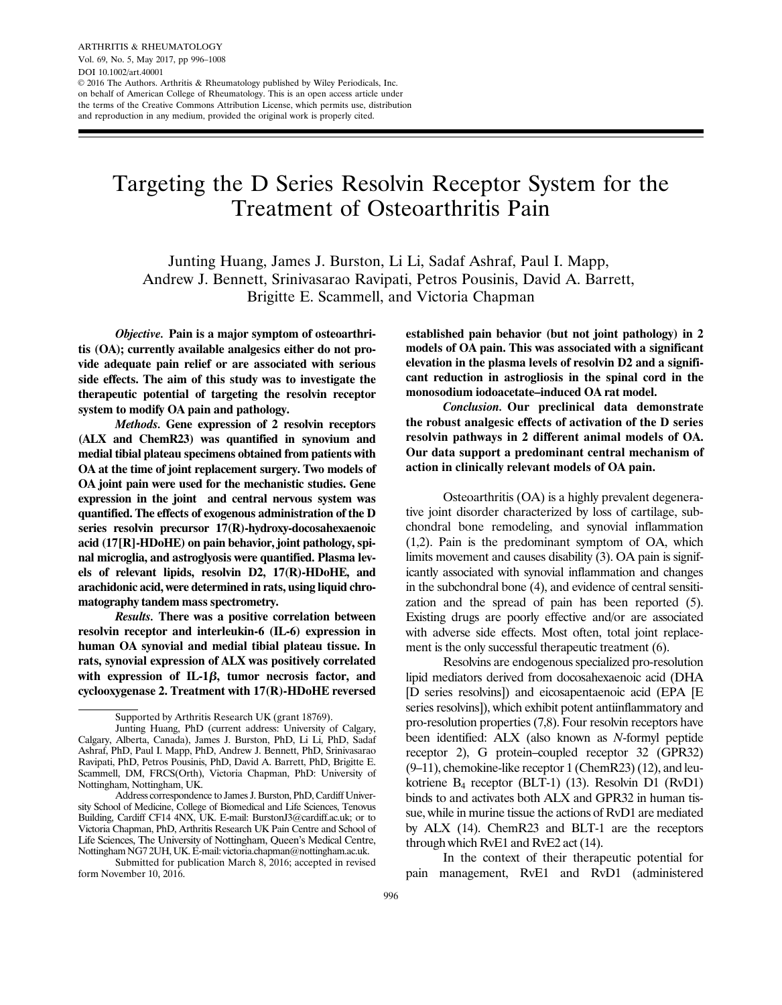# Targeting the D Series Resolvin Receptor System for the Treatment of Osteoarthritis Pain

Junting Huang, James J. Burston, Li Li, Sadaf Ashraf, Paul I. Mapp, Andrew J. Bennett, Srinivasarao Ravipati, Petros Pousinis, David A. Barrett, Brigitte E. Scammell, and Victoria Chapman

Objective. Pain is a major symptom of osteoarthritis (OA); currently available analgesics either do not provide adequate pain relief or are associated with serious side effects. The aim of this study was to investigate the therapeutic potential of targeting the resolvin receptor system to modify OA pain and pathology.

Methods. Gene expression of 2 resolvin receptors (ALX and ChemR23) was quantified in synovium and medial tibial plateau specimens obtained from patients with OA at the time of joint replacement surgery. Two models of OA joint pain were used for the mechanistic studies. Gene expression in the joint and central nervous system was quantified. The effects of exogenous administration of the D series resolvin precursor 17(R)-hydroxy-docosahexaenoic acid (17[R]-HDoHE) on pain behavior, joint pathology, spinal microglia, and astroglyosis were quantified. Plasma levels of relevant lipids, resolvin D2, 17(R)-HDoHE, and arachidonic acid, were determined in rats, using liquid chromatography tandem mass spectrometry.

Results. There was a positive correlation between resolvin receptor and interleukin-6 (IL-6) expression in human OA synovial and medial tibial plateau tissue. In rats, synovial expression of ALX was positively correlated with expression of IL-1 $\beta$ , tumor necrosis factor, and cyclooxygenase 2. Treatment with 17(R)-HDoHE reversed

Submitted for publication March 8, 2016; accepted in revised form November 10, 2016.

established pain behavior (but not joint pathology) in 2 models of OA pain. This was associated with a significant elevation in the plasma levels of resolvin D2 and a significant reduction in astrogliosis in the spinal cord in the monosodium iodoacetate–induced OA rat model.

Conclusion. Our preclinical data demonstrate the robust analgesic effects of activation of the D series resolvin pathways in 2 different animal models of OA. Our data support a predominant central mechanism of action in clinically relevant models of OA pain.

Osteoarthritis (OA) is a highly prevalent degenerative joint disorder characterized by loss of cartilage, subchondral bone remodeling, and synovial inflammation (1,2). Pain is the predominant symptom of OA, which limits movement and causes disability (3). OA pain is significantly associated with synovial inflammation and changes in the subchondral bone (4), and evidence of central sensitization and the spread of pain has been reported (5). Existing drugs are poorly effective and/or are associated with adverse side effects. Most often, total joint replacement is the only successful therapeutic treatment (6).

Resolvins are endogenous specialized pro-resolution lipid mediators derived from docosahexaenoic acid (DHA [D series resolvins]) and eicosapentaenoic acid (EPA [E series resolvins]), which exhibit potent antiinflammatory and pro-resolution properties (7,8). Four resolvin receptors have been identified: ALX (also known as N-formyl peptide receptor 2), G protein–coupled receptor 32 (GPR32) (9–11), chemokine-like receptor 1 (ChemR23) (12), and leukotriene  $B_4$  receptor (BLT-1) (13). Resolvin D1 (RvD1) binds to and activates both ALX and GPR32 in human tissue, while in murine tissue the actions of RvD1 are mediated by ALX (14). ChemR23 and BLT-1 are the receptors through which RvE1 and RvE2 act (14).

In the context of their therapeutic potential for pain management, RvE1 and RvD1 (administered

Supported by Arthritis Research UK (grant 18769).

Junting Huang, PhD (current address: University of Calgary, Calgary, Alberta, Canada), James J. Burston, PhD, Li Li, PhD, Sadaf Ashraf, PhD, Paul I. Mapp, PhD, Andrew J. Bennett, PhD, Srinivasarao Ravipati, PhD, Petros Pousinis, PhD, David A. Barrett, PhD, Brigitte E. Scammell, DM, FRCS(Orth), Victoria Chapman, PhD: University of Nottingham, Nottingham, UK.

Address correspondence to James J. Burston, PhD, Cardiff University School of Medicine, College of Biomedical and Life Sciences, Tenovus Building, Cardiff CF14 4NX, UK. E-mail: BurstonJ3@cardiff.ac.uk; or to Victoria Chapman, PhD, Arthritis Research UK Pain Centre and School of Life Sciences, The University of Nottingham, Queen's Medical Centre, Nottingham NG7 2UH, UK. E-mail: victoria.chapman@nottingham.ac.uk.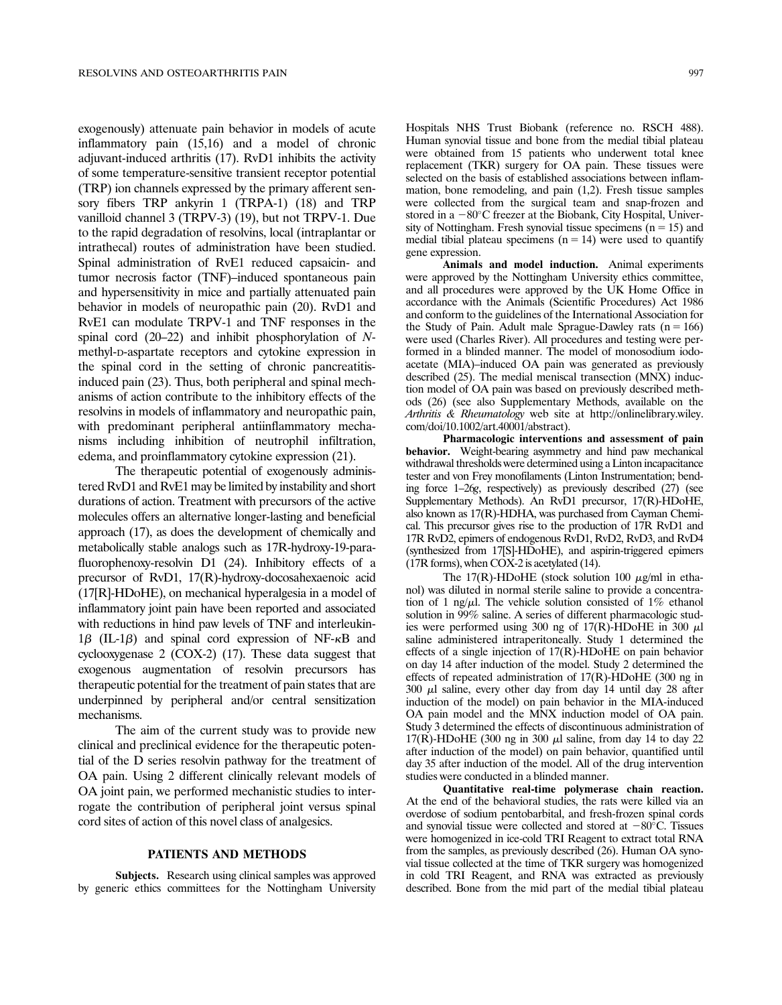exogenously) attenuate pain behavior in models of acute inflammatory pain (15,16) and a model of chronic adjuvant-induced arthritis (17). RvD1 inhibits the activity of some temperature-sensitive transient receptor potential (TRP) ion channels expressed by the primary afferent sensory fibers TRP ankyrin 1 (TRPA-1) (18) and TRP vanilloid channel 3 (TRPV-3) (19), but not TRPV-1. Due to the rapid degradation of resolvins, local (intraplantar or intrathecal) routes of administration have been studied. Spinal administration of RvE1 reduced capsaicin- and tumor necrosis factor (TNF)–induced spontaneous pain and hypersensitivity in mice and partially attenuated pain behavior in models of neuropathic pain (20). RvD1 and RvE1 can modulate TRPV-1 and TNF responses in the spinal cord  $(20-22)$  and inhibit phosphorylation of Nmethyl-D-aspartate receptors and cytokine expression in the spinal cord in the setting of chronic pancreatitisinduced pain (23). Thus, both peripheral and spinal mechanisms of action contribute to the inhibitory effects of the resolvins in models of inflammatory and neuropathic pain, with predominant peripheral antiinflammatory mechanisms including inhibition of neutrophil infiltration, edema, and proinflammatory cytokine expression (21).

The therapeutic potential of exogenously administered RvD1 and RvE1 may be limited by instability and short durations of action. Treatment with precursors of the active molecules offers an alternative longer-lasting and beneficial approach (17), as does the development of chemically and metabolically stable analogs such as 17R-hydroxy-19-parafluorophenoxy-resolvin D1 (24). Inhibitory effects of a precursor of RvD1, 17(R)-hydroxy-docosahexaenoic acid (17[R]-HDoHE), on mechanical hyperalgesia in a model of inflammatory joint pain have been reported and associated with reductions in hind paw levels of TNF and interleukin- $1\beta$  (IL-1 $\beta$ ) and spinal cord expression of NF- $\kappa$ B and cyclooxygenase 2 (COX-2) (17). These data suggest that exogenous augmentation of resolvin precursors has therapeutic potential for the treatment of pain states that are underpinned by peripheral and/or central sensitization mechanisms.

The aim of the current study was to provide new clinical and preclinical evidence for the therapeutic potential of the D series resolvin pathway for the treatment of OA pain. Using 2 different clinically relevant models of OA joint pain, we performed mechanistic studies to interrogate the contribution of peripheral joint versus spinal cord sites of action of this novel class of analgesics.

## PATIENTS AND METHODS

Subjects. Research using clinical samples was approved by generic ethics committees for the Nottingham University

Hospitals NHS Trust Biobank (reference no. RSCH 488). Human synovial tissue and bone from the medial tibial plateau were obtained from 15 patients who underwent total knee replacement (TKR) surgery for OA pain. These tissues were selected on the basis of established associations between inflammation, bone remodeling, and pain (1,2). Fresh tissue samples were collected from the surgical team and snap-frozen and stored in a -80°C freezer at the Biobank, City Hospital, University of Nottingham. Fresh synovial tissue specimens  $(n = 15)$  and medial tibial plateau specimens ( $n = 14$ ) were used to quantify gene expression.

Animals and model induction. Animal experiments were approved by the Nottingham University ethics committee, and all procedures were approved by the UK Home Office in accordance with the Animals (Scientific Procedures) Act 1986 and conform to the guidelines of the International Association for the Study of Pain. Adult male Sprague-Dawley rats  $(n = 166)$ were used (Charles River). All procedures and testing were performed in a blinded manner. The model of monosodium iodoacetate (MIA)–induced OA pain was generated as previously described (25). The medial meniscal transection (MNX) induction model of OA pain was based on previously described methods (26) (see also Supplementary Methods, available on the Arthritis & Rheumatology web site at [http://onlinelibrary.wiley.](http://onlinelibrary.wiley.com/doi/10.1002/art.40001/abstract) [com/doi/10.1002/art.40001/abstract](http://onlinelibrary.wiley.com/doi/10.1002/art.40001/abstract)).

Pharmacologic interventions and assessment of pain behavior. Weight-bearing asymmetry and hind paw mechanical withdrawal thresholds were determined using a Linton incapacitance tester and von Frey monofilaments (Linton Instrumentation; bending force 1–26g, respectively) as previously described (27) (see Supplementary Methods). An RvD1 precursor, 17(R)-HDoHE, also known as 17(R)-HDHA, was purchased from Cayman Chemical. This precursor gives rise to the production of 17R RvD1 and 17R RvD2, epimers of endogenous RvD1, RvD2, RvD3, and RvD4 (synthesized from 17[S]-HDoHE), and aspirin-triggered epimers (17R forms), when COX-2 is acetylated (14).

The 17(R)-HDoHE (stock solution 100  $\mu$ g/ml in ethanol) was diluted in normal sterile saline to provide a concentration of 1 ng/ $\mu$ l. The vehicle solution consisted of 1% ethanol solution in 99% saline. A series of different pharmacologic studies were performed using 300 ng of  $17(R)$ -HDoHE in 300  $\mu$ l saline administered intraperitoneally. Study 1 determined the effects of a single injection of 17(R)-HDoHE on pain behavior on day 14 after induction of the model. Study 2 determined the effects of repeated administration of 17(R)-HDoHE (300 ng in  $300 \mu l$  saline, every other day from day 14 until day 28 after induction of the model) on pain behavior in the MIA-induced OA pain model and the MNX induction model of OA pain. Study 3 determined the effects of discontinuous administration of 17(R)-HDoHE (300 ng in 300  $\mu$ l saline, from day 14 to day 22 after induction of the model) on pain behavior, quantified until day 35 after induction of the model. All of the drug intervention studies were conducted in a blinded manner.

Quantitative real-time polymerase chain reaction. At the end of the behavioral studies, the rats were killed via an overdose of sodium pentobarbital, and fresh-frozen spinal cords and synovial tissue were collected and stored at  $-80^{\circ}$ C. Tissues were homogenized in ice-cold TRI Reagent to extract total RNA from the samples, as previously described (26). Human OA synovial tissue collected at the time of TKR surgery was homogenized in cold TRI Reagent, and RNA was extracted as previously described. Bone from the mid part of the medial tibial plateau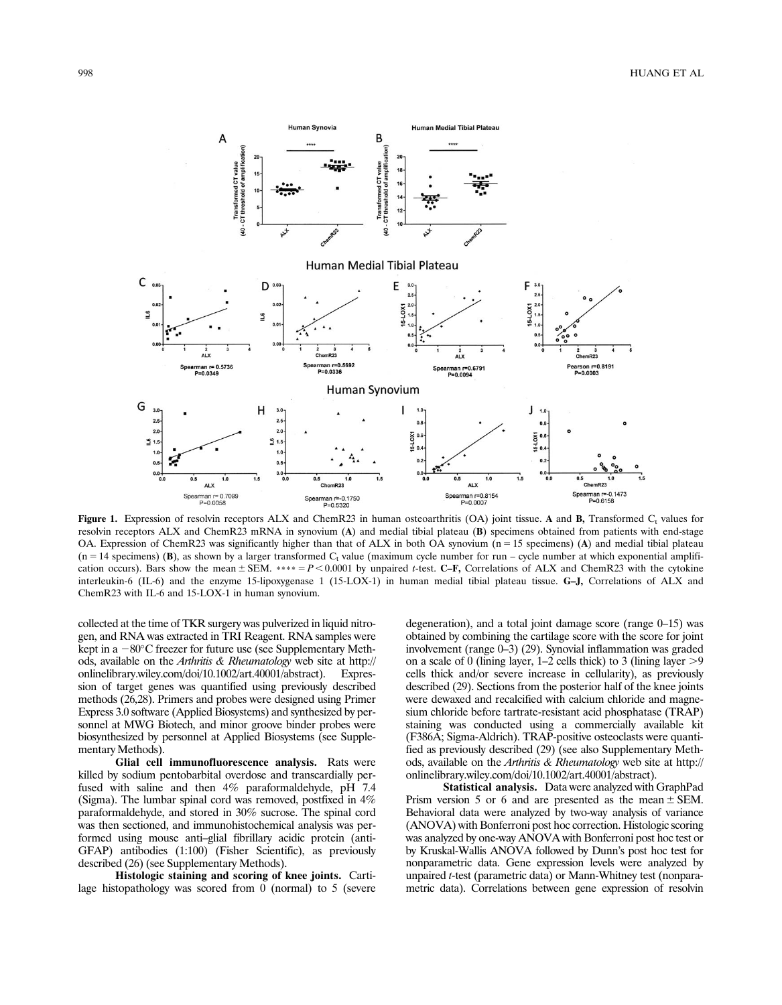

Figure 1. Expression of resolvin receptors ALX and ChemR23 in human osteoarthritis (OA) joint tissue. A and  $B$ , Transformed  $C_t$  values for resolvin receptors ALX and ChemR23 mRNA in synovium (A) and medial tibial plateau (B) specimens obtained from patients with end-stage OA. Expression of ChemR23 was significantly higher than that of ALX in both OA synovium ( $n = 15$  specimens) (A) and medial tibial plateau  $(n = 14$  specimens) (B), as shown by a larger transformed C<sub>t</sub> value (maximum cycle number for run – cycle number at which exponential amplification occurs). Bars show the mean  $\pm$  SEM. \*\*\*\* =  $P < 0.0001$  by unpaired t-test. C–F, Correlations of ALX and ChemR23 with the cytokine interleukin-6 (IL-6) and the enzyme 15-lipoxygenase 1 (15-LOX-1) in human medial tibial plateau tissue. G–J, Correlations of ALX and ChemR23 with IL-6 and 15-LOX-1 in human synovium.

collected at the time of TKR surgery was pulverized in liquid nitrogen, and RNA was extracted in TRI Reagent. RNA samples were kept in a  $-80^{\circ}$ C freezer for future use (see Supplementary Methods, available on the Arthritis & Rheumatology web site at [http://](http://onlinelibrary.wiley.com/doi/10.1002/art.40001/abstract) [onlinelibrary.wiley.com/doi/10.1002/art.40001/abstract\)](http://onlinelibrary.wiley.com/doi/10.1002/art.40001/abstract). Expression of target genes was quantified using previously described methods (26,28). Primers and probes were designed using Primer Express 3.0 software (Applied Biosystems) and synthesized by personnel at MWG Biotech, and minor groove binder probes were biosynthesized by personnel at Applied Biosystems (see Supplementary Methods).

Glial cell immunofluorescence analysis. Rats were killed by sodium pentobarbital overdose and transcardially perfused with saline and then 4% paraformaldehyde, pH 7.4 (Sigma). The lumbar spinal cord was removed, postfixed in 4% paraformaldehyde, and stored in 30% sucrose. The spinal cord was then sectioned, and immunohistochemical analysis was performed using mouse anti–glial fibrillary acidic protein (anti-GFAP) antibodies (1:100) (Fisher Scientific), as previously described (26) (see Supplementary Methods).

Histologic staining and scoring of knee joints. Cartilage histopathology was scored from 0 (normal) to 5 (severe

degeneration), and a total joint damage score (range 0–15) was obtained by combining the cartilage score with the score for joint involvement (range 0–3) (29). Synovial inflammation was graded on a scale of 0 (lining layer,  $1-2$  cells thick) to 3 (lining layer  $>9$ cells thick and/or severe increase in cellularity), as previously described (29). Sections from the posterior half of the knee joints were dewaxed and recalcified with calcium chloride and magnesium chloride before tartrate-resistant acid phosphatase (TRAP) staining was conducted using a commercially available kit (F386A; Sigma-Aldrich). TRAP-positive osteoclasts were quantified as previously described (29) (see also Supplementary Methods, available on the Arthritis & Rheumatology web site at [http://](http://onlinelibrary.wiley.com/doi/10.1002/art.40001/abstract) [onlinelibrary.wiley.com/doi/10.1002/art.40001/abstract\)](http://onlinelibrary.wiley.com/doi/10.1002/art.40001/abstract).

Statistical analysis. Data were analyzed with GraphPad Prism version 5 or 6 and are presented as the mean  $\pm$  SEM. Behavioral data were analyzed by two-way analysis of variance (ANOVA) with Bonferroni post hoc correction. Histologic scoring was analyzed by one-way ANOVA with Bonferroni post hoc test or by Kruskal-Wallis ANOVA followed by Dunn's post hoc test for nonparametric data. Gene expression levels were analyzed by unpaired t-test (parametric data) or Mann-Whitney test (nonparametric data). Correlations between gene expression of resolvin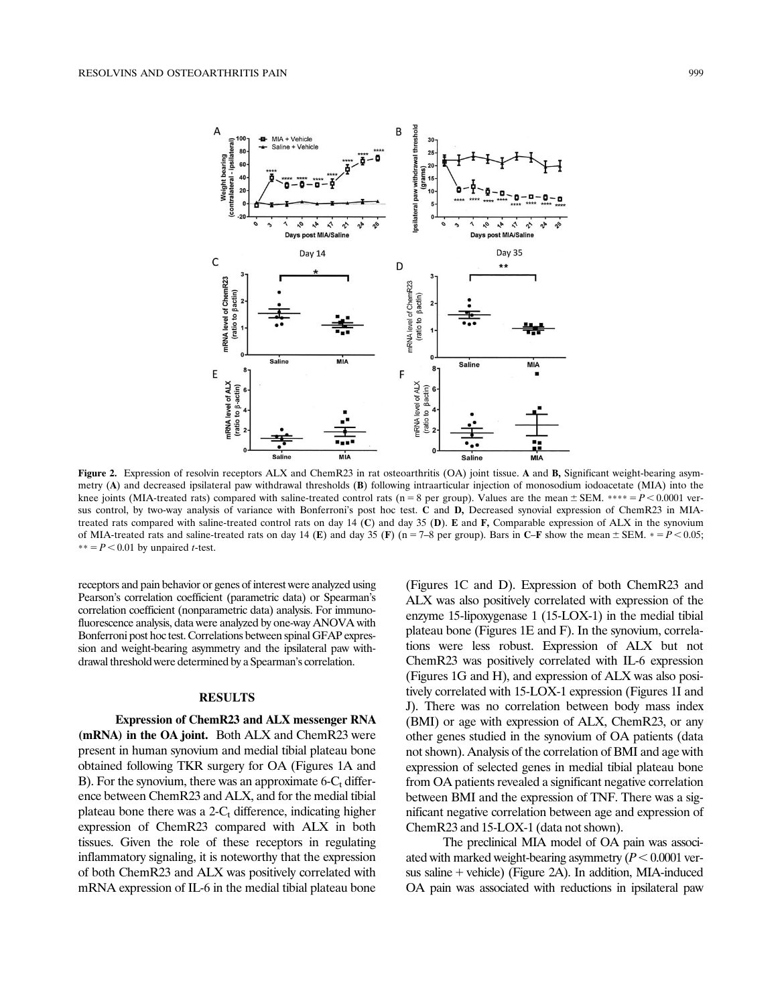

Figure 2. Expression of resolvin receptors ALX and ChemR23 in rat osteoarthritis (OA) joint tissue. A and B, Significant weight-bearing asymmetry (A) and decreased ipsilateral paw withdrawal thresholds (B) following intraarticular injection of monosodium iodoacetate (MIA) into the knee joints (MIA-treated rats) compared with saline-treated control rats (n = 8 per group). Values are the mean  $\pm$  SEM. \*\*\*\* = P < 0.0001 versus control, by two-way analysis of variance with Bonferroni's post hoc test. C and D, Decreased synovial expression of ChemR23 in MIAtreated rats compared with saline-treated control rats on day 14 (C) and day 35 (D). E and  $F$ , Comparable expression of ALX in the synovium of MIA-treated rats and saline-treated rats on day 14 (E) and day 35 (F) (n = 7–8 per group). Bars in C–F show the mean  $\pm$  SEM.  $\ast$  =  $P$  < 0.05;  $** = P < 0.01$  by unpaired *t*-test.

receptors and pain behavior or genes of interest were analyzed using Pearson's correlation coefficient (parametric data) or Spearman's correlation coefficient (nonparametric data) analysis. For immunofluorescence analysis, data were analyzed by one-way ANOVA with Bonferroni post hoc test. Correlations between spinal GFAP expression and weight-bearing asymmetry and the ipsilateral paw withdrawal threshold were determined by a Spearman's correlation.

#### RESULTS

#### Expression of ChemR23 and ALX messenger RNA

(mRNA) in the OA joint. Both ALX and ChemR23 were present in human synovium and medial tibial plateau bone obtained following TKR surgery for OA (Figures 1A and B). For the synovium, there was an approximate  $6\text{-}C_{t}$  difference between ChemR23 and ALX, and for the medial tibial plateau bone there was a  $2-C_t$  difference, indicating higher expression of ChemR23 compared with ALX in both tissues. Given the role of these receptors in regulating inflammatory signaling, it is noteworthy that the expression of both ChemR23 and ALX was positively correlated with mRNA expression of IL-6 in the medial tibial plateau bone

(Figures 1C and D). Expression of both ChemR23 and ALX was also positively correlated with expression of the enzyme 15-lipoxygenase 1 (15-LOX-1) in the medial tibial plateau bone (Figures 1E and F). In the synovium, correlations were less robust. Expression of ALX but not ChemR23 was positively correlated with IL-6 expression (Figures 1G and H), and expression of ALX was also positively correlated with 15-LOX-1 expression (Figures 1I and J). There was no correlation between body mass index (BMI) or age with expression of ALX, ChemR23, or any other genes studied in the synovium of OA patients (data not shown). Analysis of the correlation of BMI and age with expression of selected genes in medial tibial plateau bone from OA patients revealed a significant negative correlation between BMI and the expression of TNF. There was a significant negative correlation between age and expression of ChemR23 and 15-LOX-1 (data not shown).

The preclinical MIA model of OA pain was associated with marked weight-bearing asymmetry  $(P < 0.0001$  versus saline + vehicle) (Figure 2A). In addition, MIA-induced OA pain was associated with reductions in ipsilateral paw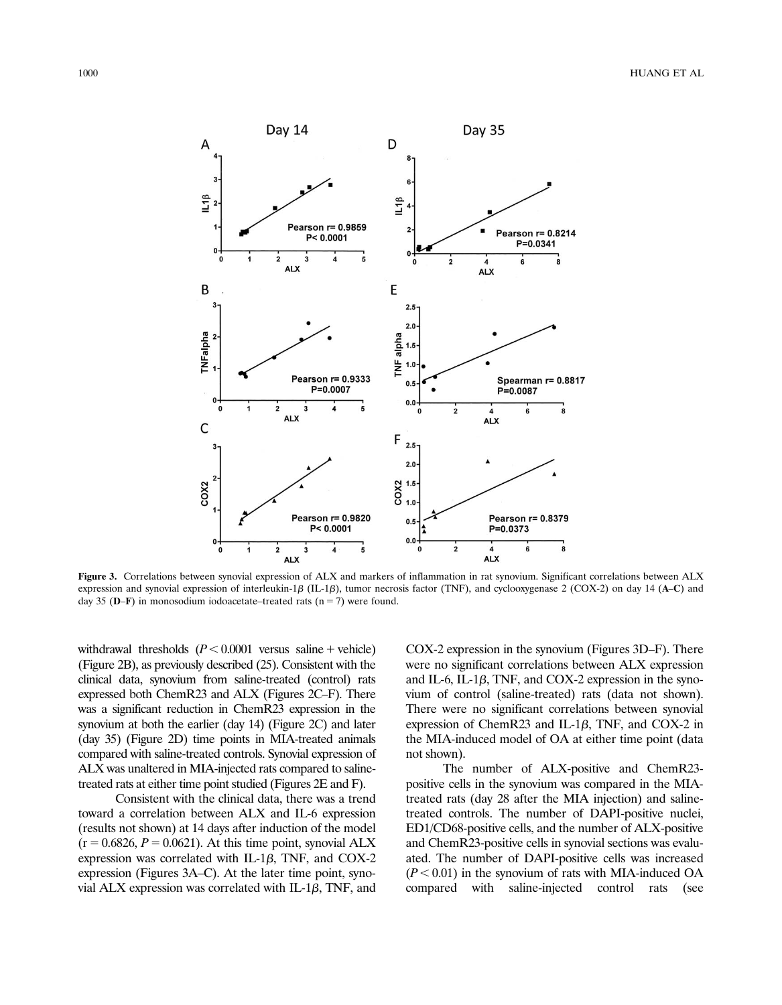

Figure 3. Correlations between synovial expression of ALX and markers of inflammation in rat synovium. Significant correlations between ALX expression and synovial expression of interleukin-1 $\beta$  (IL-1 $\beta$ ), tumor necrosis factor (TNF), and cyclooxygenase 2 (COX-2) on day 14 (A–C) and day 35 (D–F) in monosodium iodoacetate–treated rats ( $n = 7$ ) were found.

withdrawal thresholds  $(P < 0.0001$  versus saline + vehicle) (Figure 2B), as previously described (25). Consistent with the clinical data, synovium from saline-treated (control) rats expressed both ChemR23 and ALX (Figures 2C–F). There was a significant reduction in ChemR23 expression in the synovium at both the earlier (day 14) (Figure 2C) and later (day 35) (Figure 2D) time points in MIA-treated animals compared with saline-treated controls. Synovial expression of ALX was unaltered in MIA-injected rats compared to salinetreated rats at either time point studied (Figures 2E and F).

Consistent with the clinical data, there was a trend toward a correlation between ALX and IL-6 expression (results not shown) at 14 days after induction of the model  $(r = 0.6826, P = 0.0621)$ . At this time point, synovial ALX expression was correlated with IL-1 $\beta$ , TNF, and COX-2 expression (Figures 3A–C). At the later time point, synovial ALX expression was correlated with IL-1 $\beta$ , TNF, and COX-2 expression in the synovium (Figures 3D–F). There were no significant correlations between ALX expression and IL-6, IL-1 $\beta$ , TNF, and COX-2 expression in the synovium of control (saline-treated) rats (data not shown). There were no significant correlations between synovial expression of ChemR23 and IL-1 $\beta$ , TNF, and COX-2 in the MIA-induced model of OA at either time point (data not shown).

The number of ALX-positive and ChemR23 positive cells in the synovium was compared in the MIAtreated rats (day 28 after the MIA injection) and salinetreated controls. The number of DAPI-positive nuclei, ED1/CD68-positive cells, and the number of ALX-positive and ChemR23-positive cells in synovial sections was evaluated. The number of DAPI-positive cells was increased  $(P<0.01)$  in the synovium of rats with MIA-induced OA compared with saline-injected control rats (see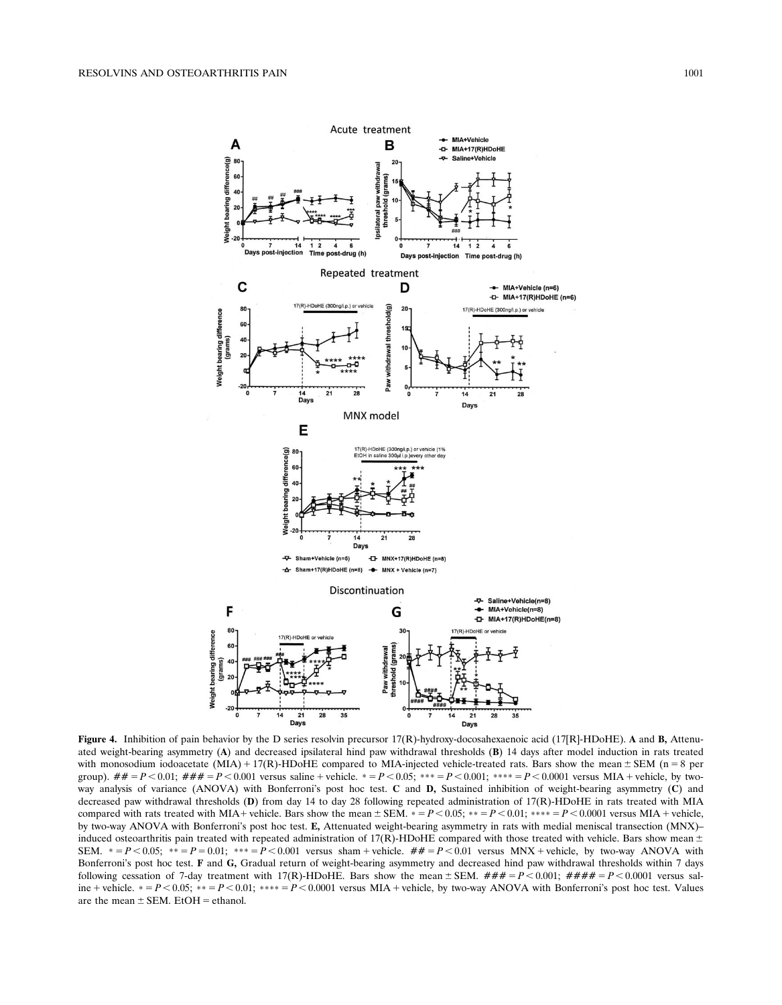

Figure 4. Inhibition of pain behavior by the D series resolvin precursor 17(R)-hydroxy-docosahexaenoic acid (17[R]-HDoHE). A and B, Attenuated weight-bearing asymmetry (A) and decreased ipsilateral hind paw withdrawal thresholds (B) 14 days after model induction in rats treated with monosodium iodoacetate (MIA) + 17(R)-HDoHE compared to MIA-injected vehicle-treated rats. Bars show the mean  $\pm$  SEM (n = 8 per group).  $\# \# = P < 0.01$ ;  $\# \# \# = P < 0.001$  versus saline + vehicle.  $* = P < 0.05$ ;  $** = P < 0.001$ ;  $*** = P < 0.0001$  versus MIA + vehicle, by twoway analysis of variance (ANOVA) with Bonferroni's post hoc test. C and D, Sustained inhibition of weight-bearing asymmetry (C) and decreased paw withdrawal thresholds (D) from day 14 to day 28 following repeated administration of 17(R)-HDoHE in rats treated with MIA compared with rats treated with MIA+ vehicle. Bars show the mean  $\pm$  SEM.  $* = P \lt 0.05$ ;  $** = P \lt 0.01$ ;  $*** = P \lt 0.0001$  versus MIA + vehicle, by two-way ANOVA with Bonferroni's post hoc test. E, Attenuated weight-bearing asymmetry in rats with medial meniscal transection (MNX)– induced osteoarthritis pain treated with repeated administration of  $17(R)$ -HDoHE compared with those treated with vehicle. Bars show mean  $\pm$ SEM.  $* = P \le 0.05$ ;  $* = P = 0.01$ ;  $* = P \le 0.001$  versus sham + vehicle.  $# = P \le 0.01$  versus MNX + vehicle, by two-way ANOVA with Bonferroni's post hoc test. F and G, Gradual return of weight-bearing asymmetry and decreased hind paw withdrawal thresholds within 7 days following cessation of 7-day treatment with 17(R)-HDoHE. Bars show the mean  $\pm$  SEM.  $\#H\#H = P \lt 0.001$ ;  $\#H\#H \neq P \lt 0.0001$  versus saline + vehicle.  $* = P < 0.05$ ;  $* = P < 0.01$ ;  $**** = P < 0.0001$  versus MIA + vehicle, by two-way ANOVA with Bonferroni's post hoc test. Values are the mean  $\pm$  SEM. EtOH = ethanol.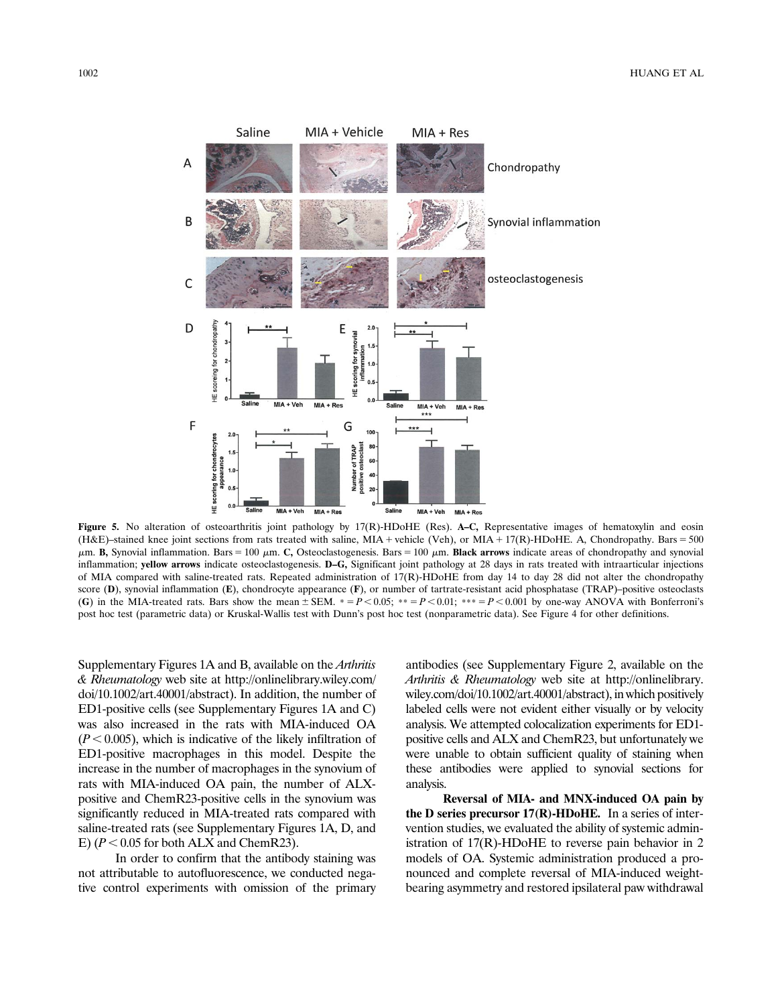

Figure 5. No alteration of osteoarthritis joint pathology by 17(R)-HDoHE (Res). A-C, Representative images of hematoxylin and eosin (H&E)–stained knee joint sections from rats treated with saline, MIA + vehicle (Veh), or MIA + 17(R)-HDoHE. A, Chondropathy. Bars = 500  $\mu$ m. B, Synovial inflammation. Bars = 100  $\mu$ m. C, Osteoclastogenesis. Bars = 100  $\mu$ m. Black arrows indicate areas of chondropathy and synovial inflammation; yellow arrows indicate osteoclastogenesis. D–G, Significant joint pathology at 28 days in rats treated with intraarticular injections of MIA compared with saline-treated rats. Repeated administration of 17(R)-HDoHE from day 14 to day 28 did not alter the chondropathy score  $(D)$ , synovial inflammation  $(E)$ , chondrocyte appearance  $(F)$ , or number of tartrate-resistant acid phosphatase (TRAP)–positive osteoclasts (G) in the MIA-treated rats. Bars show the mean  $\pm$  SEM.  $* = P < 0.05$ ;  $* = P < 0.01$ ;  $* * = P < 0.001$  by one-way ANOVA with Bonferroni's post hoc test (parametric data) or Kruskal-Wallis test with Dunn's post hoc test (nonparametric data). See Figure 4 for other definitions.

Supplementary Figures 1A and B, available on the *Arthritis* & Rheumatology web site at [http://onlinelibrary.wiley.com/](http://onlinelibrary.wiley.com/doi/10.1002/art.40001/abstract) [doi/10.1002/art.40001/abstract\)](http://onlinelibrary.wiley.com/doi/10.1002/art.40001/abstract). In addition, the number of ED1-positive cells (see Supplementary Figures 1A and C) was also increased in the rats with MIA-induced OA  $(P<0.005)$ , which is indicative of the likely infiltration of ED1-positive macrophages in this model. Despite the increase in the number of macrophages in the synovium of rats with MIA-induced OA pain, the number of ALXpositive and ChemR23-positive cells in the synovium was significantly reduced in MIA-treated rats compared with saline-treated rats (see Supplementary Figures 1A, D, and E)  $(P < 0.05$  for both ALX and ChemR23).

In order to confirm that the antibody staining was not attributable to autofluorescence, we conducted negative control experiments with omission of the primary

antibodies (see Supplementary Figure 2, available on the Arthritis & Rheumatology web site at [http://onlinelibrary.](http://onlinelibrary.wiley.com/doi/10.1002/art.40001/abstract) [wiley.com/doi/10.1002/art.40001/abstract](http://onlinelibrary.wiley.com/doi/10.1002/art.40001/abstract)), in which positively labeled cells were not evident either visually or by velocity analysis. We attempted colocalization experiments for ED1 positive cells and ALX and ChemR23, but unfortunately we were unable to obtain sufficient quality of staining when these antibodies were applied to synovial sections for analysis.

Reversal of MIA- and MNX-induced OA pain by the D series precursor  $17(R)$ -HDoHE. In a series of intervention studies, we evaluated the ability of systemic administration of 17(R)-HDoHE to reverse pain behavior in 2 models of OA. Systemic administration produced a pronounced and complete reversal of MIA-induced weightbearing asymmetry and restored ipsilateral paw withdrawal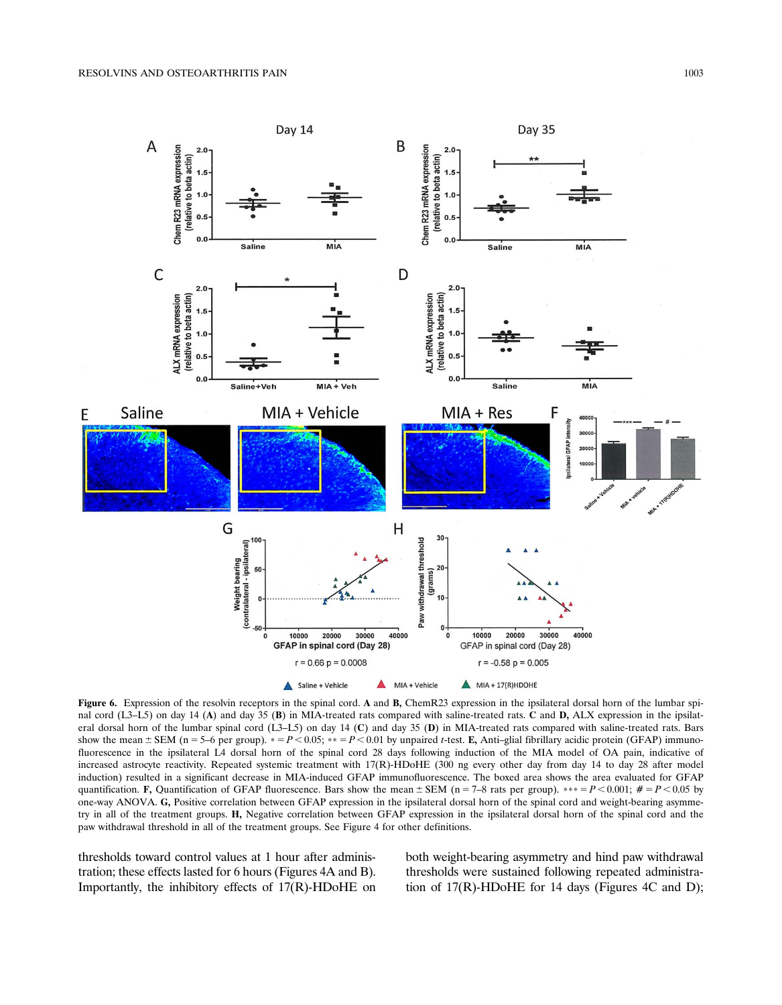

Figure 6. Expression of the resolvin receptors in the spinal cord. A and B, ChemR23 expression in the ipsilateral dorsal horn of the lumbar spinal cord (L3–L5) on day 14 (A) and day 35 (B) in MIA-treated rats compared with saline-treated rats. C and D, ALX expression in the ipsilateral dorsal horn of the lumbar spinal cord (L3–L5) on day 14 (C) and day 35 (D) in MIA-treated rats compared with saline-treated rats. Bars show the mean  $\pm$  SEM (n = 5–6 per group).  $* = P < 0.05$ ;  $* = P < 0.01$  by unpaired t-test. E, Anti-glial fibrillary acidic protein (GFAP) immunofluorescence in the ipsilateral L4 dorsal horn of the spinal cord 28 days following induction of the MIA model of OA pain, indicative of increased astrocyte reactivity. Repeated systemic treatment with 17(R)-HDoHE (300 ng every other day from day 14 to day 28 after model induction) resulted in a significant decrease in MIA-induced GFAP immunofluorescence. The boxed area shows the area evaluated for GFAP quantification. F, Quantification of GFAP fluorescence. Bars show the mean  $\pm$  SEM (n = 7–8 rats per group). \*\*\* =  $P$  < 0.001;  $\# = P$  < 0.05 by one-way ANOVA. G, Positive correlation between GFAP expression in the ipsilateral dorsal horn of the spinal cord and weight-bearing asymmetry in all of the treatment groups. H, Negative correlation between GFAP expression in the ipsilateral dorsal horn of the spinal cord and the paw withdrawal threshold in all of the treatment groups. See Figure 4 for other definitions.

thresholds toward control values at 1 hour after administration; these effects lasted for 6 hours (Figures 4A and B). Importantly, the inhibitory effects of  $17(R)$ -HDoHE on

both weight-bearing asymmetry and hind paw withdrawal thresholds were sustained following repeated administration of  $17(R)$ -HDoHE for 14 days (Figures 4C and D);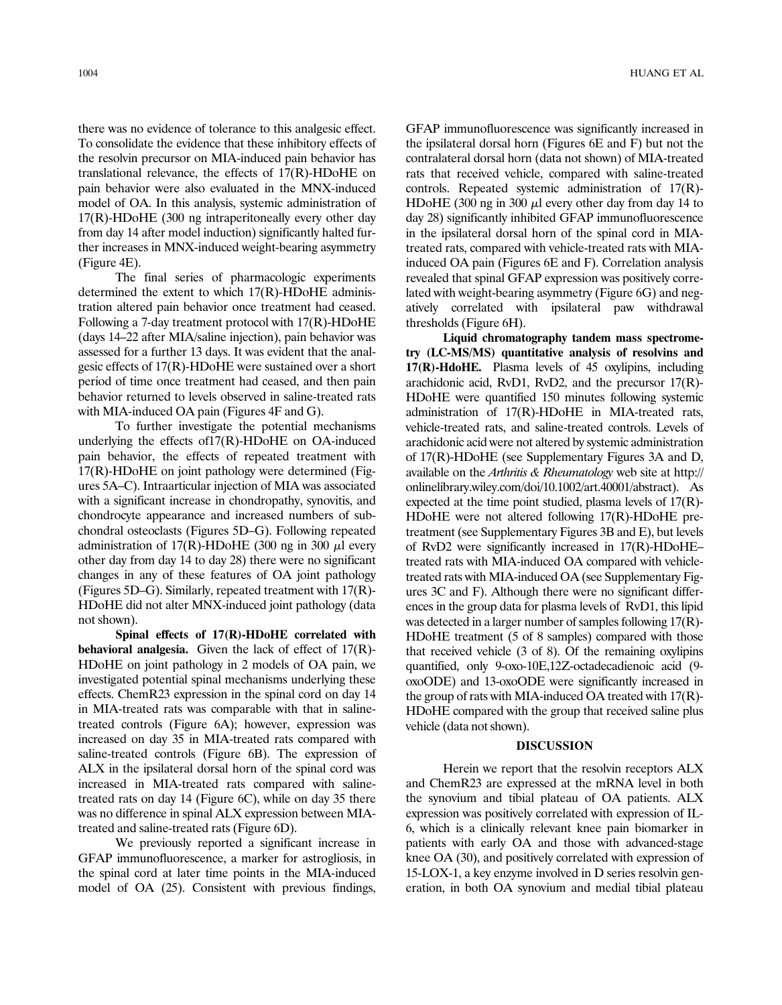there was no evidence of tolerance to this analgesic effect. To consolidate the evidence that these inhibitory effects of the resolvin precursor on MIA-induced pain behavior has translational relevance, the effects of  $17(R)$ -HDoHE on pain behavior were also evaluated in the MNX-induced model of OA. In this analysis, systemic administration of 17(R)-HDoHE (300 ng intraperitoneally every other day from day 14 after model induction) significantly halted further increases in MNX-induced weight-bearing asymmetry (Figure 4E).

The final series of pharmacologic experiments determined the extent to which 17(R)-HDoHE administration altered pain behavior once treatment had ceased. Following a 7-day treatment protocol with 17(R)-HDoHE (days 14–22 after MIA/saline injection), pain behavior was assessed for a further 13 days. It was evident that the analgesic effects of 17(R)-HDoHE were sustained over a short period of time once treatment had ceased, and then pain behavior returned to levels observed in saline-treated rats with MIA-induced OA pain (Figures 4F and G).

To further investigate the potential mechanisms underlying the effects of  $17(R)$ -HDoHE on OA-induced pain behavior, the effects of repeated treatment with 17(R)-HDoHE on joint pathology were determined (Figures 5A–C). Intraarticular injection of MIA was associated with a significant increase in chondropathy, synovitis, and chondrocyte appearance and increased numbers of subchondral osteoclasts (Figures 5D–G). Following repeated administration of 17(R)-HDoHE (300 ng in 300  $\mu$ l every other day from day 14 to day 28) there were no significant changes in any of these features of OA joint pathology (Figures 5D–G). Similarly, repeated treatment with 17(R)- HDoHE did not alter MNX-induced joint pathology (data not shown).

Spinal effects of 17(R)-HDoHE correlated with **behavioral analgesia.** Given the lack of effect of  $17(R)$ -HDoHE on joint pathology in 2 models of OA pain, we investigated potential spinal mechanisms underlying these effects. ChemR23 expression in the spinal cord on day 14 in MIA-treated rats was comparable with that in salinetreated controls (Figure 6A); however, expression was increased on day 35 in MIA-treated rats compared with saline-treated controls (Figure 6B). The expression of ALX in the ipsilateral dorsal horn of the spinal cord was increased in MIA-treated rats compared with salinetreated rats on day 14 (Figure 6C), while on day 35 there was no difference in spinal ALX expression between MIAtreated and saline-treated rats (Figure 6D).

We previously reported a significant increase in GFAP immunofluorescence, a marker for astrogliosis, in the spinal cord at later time points in the MIA-induced model of OA (25). Consistent with previous findings,

GFAP immunofluorescence was significantly increased in the ipsilateral dorsal horn (Figures 6E and F) but not the contralateral dorsal horn (data not shown) of MIA-treated rats that received vehicle, compared with saline-treated controls. Repeated systemic administration of 17(R)- HDoHE (300 ng in 300  $\mu$ l every other day from day 14 to day 28) significantly inhibited GFAP immunofluorescence in the ipsilateral dorsal horn of the spinal cord in MIAtreated rats, compared with vehicle-treated rats with MIAinduced OA pain (Figures 6E and F). Correlation analysis revealed that spinal GFAP expression was positively correlated with weight-bearing asymmetry (Figure 6G) and negatively correlated with ipsilateral paw withdrawal thresholds (Figure 6H).

Liquid chromatography tandem mass spectrometry (LC-MS/MS) quantitative analysis of resolvins and 17(R)-HdoHE. Plasma levels of 45 oxylipins, including arachidonic acid, RvD1, RvD2, and the precursor 17(R)- HDoHE were quantified 150 minutes following systemic administration of 17(R)-HDoHE in MIA-treated rats, vehicle-treated rats, and saline-treated controls. Levels of arachidonic acid were not altered by systemic administration of 17(R)-HDoHE (see Supplementary Figures 3A and D, available on the Arthritis & Rheumatology web site at [http://](http://onlinelibrary.wiley.com/doi/10.1002/art.40001/abstract) [onlinelibrary.wiley.com/doi/10.1002/art.40001/abstract](http://onlinelibrary.wiley.com/doi/10.1002/art.40001/abstract)). As expected at the time point studied, plasma levels of 17(R)- HDoHE were not altered following 17(R)-HDoHE pretreatment (see Supplementary Figures 3B and E), but levels of RvD2 were significantly increased in 17(R)-HDoHE– treated rats with MIA-induced OA compared with vehicletreated rats with MIA-induced OA (see Supplementary Figures 3C and F). Although there were no significant differences in the group data for plasma levels of RvD1, this lipid was detected in a larger number of samples following 17(R)- HDoHE treatment (5 of 8 samples) compared with those that received vehicle (3 of 8). Of the remaining oxylipins quantified, only 9-oxo-10E,12Z-octadecadienoic acid (9 oxoODE) and 13-oxoODE were significantly increased in the group of rats with MIA-induced OA treated with 17(R)- HDoHE compared with the group that received saline plus vehicle (data not shown).

#### DISCUSSION

Herein we report that the resolvin receptors ALX and ChemR23 are expressed at the mRNA level in both the synovium and tibial plateau of OA patients. ALX expression was positively correlated with expression of IL-6, which is a clinically relevant knee pain biomarker in patients with early OA and those with advanced-stage knee OA (30), and positively correlated with expression of 15-LOX-1, a key enzyme involved in D series resolvin generation, in both OA synovium and medial tibial plateau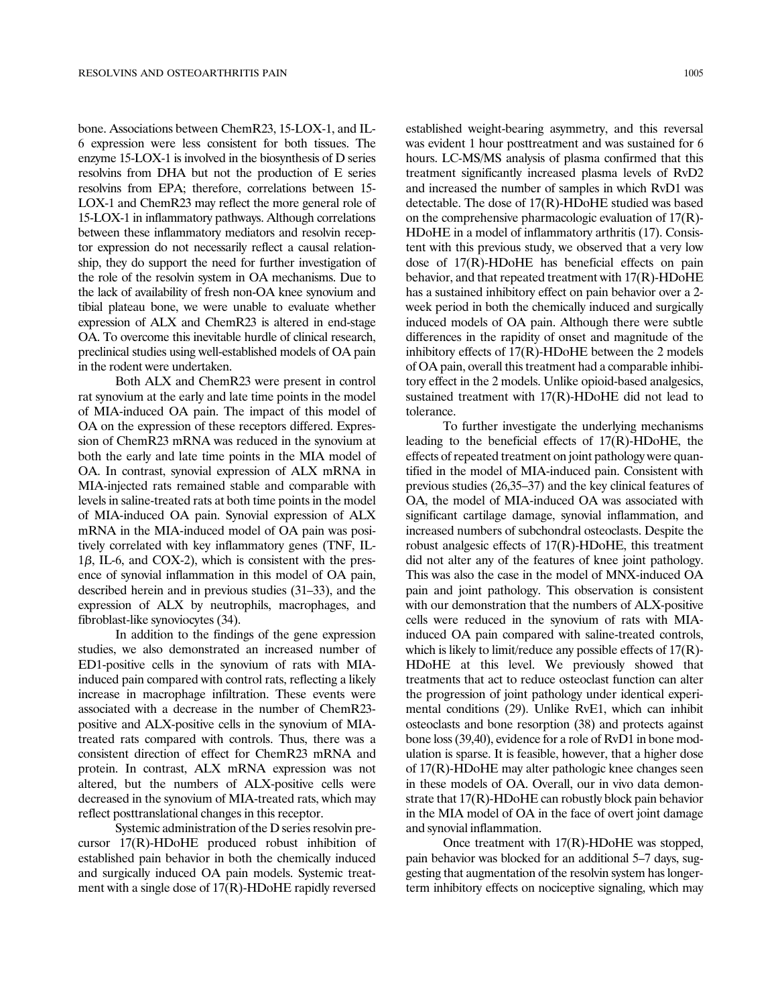bone. Associations between ChemR23, 15-LOX-1, and IL-6 expression were less consistent for both tissues. The enzyme 15-LOX-1 is involved in the biosynthesis of D series resolvins from DHA but not the production of E series resolvins from EPA; therefore, correlations between 15- LOX-1 and ChemR23 may reflect the more general role of 15-LOX-1 in inflammatory pathways. Although correlations between these inflammatory mediators and resolvin receptor expression do not necessarily reflect a causal relationship, they do support the need for further investigation of the role of the resolvin system in OA mechanisms. Due to the lack of availability of fresh non-OA knee synovium and tibial plateau bone, we were unable to evaluate whether expression of ALX and ChemR23 is altered in end-stage OA. To overcome this inevitable hurdle of clinical research, preclinical studies using well-established models of OA pain in the rodent were undertaken.

Both ALX and ChemR23 were present in control rat synovium at the early and late time points in the model of MIA-induced OA pain. The impact of this model of OA on the expression of these receptors differed. Expression of ChemR23 mRNA was reduced in the synovium at both the early and late time points in the MIA model of OA. In contrast, synovial expression of ALX mRNA in MIA-injected rats remained stable and comparable with levels in saline-treated rats at both time points in the model of MIA-induced OA pain. Synovial expression of ALX mRNA in the MIA-induced model of OA pain was positively correlated with key inflammatory genes (TNF, IL- $1\beta$ , IL-6, and COX-2), which is consistent with the presence of synovial inflammation in this model of OA pain, described herein and in previous studies (31–33), and the expression of ALX by neutrophils, macrophages, and fibroblast-like synoviocytes (34).

In addition to the findings of the gene expression studies, we also demonstrated an increased number of ED1-positive cells in the synovium of rats with MIAinduced pain compared with control rats, reflecting a likely increase in macrophage infiltration. These events were associated with a decrease in the number of ChemR23 positive and ALX-positive cells in the synovium of MIAtreated rats compared with controls. Thus, there was a consistent direction of effect for ChemR23 mRNA and protein. In contrast, ALX mRNA expression was not altered, but the numbers of ALX-positive cells were decreased in the synovium of MIA-treated rats, which may reflect posttranslational changes in this receptor.

Systemic administration of the D series resolvin precursor 17(R)-HDoHE produced robust inhibition of established pain behavior in both the chemically induced and surgically induced OA pain models. Systemic treatment with a single dose of 17(R)-HDoHE rapidly reversed

established weight-bearing asymmetry, and this reversal was evident 1 hour posttreatment and was sustained for 6 hours. LC-MS/MS analysis of plasma confirmed that this treatment significantly increased plasma levels of RvD2 and increased the number of samples in which RvD1 was detectable. The dose of 17(R)-HDoHE studied was based on the comprehensive pharmacologic evaluation of  $17(R)$ -HDoHE in a model of inflammatory arthritis (17). Consistent with this previous study, we observed that a very low dose of 17(R)-HDoHE has beneficial effects on pain behavior, and that repeated treatment with 17(R)-HDoHE has a sustained inhibitory effect on pain behavior over a 2 week period in both the chemically induced and surgically induced models of OA pain. Although there were subtle differences in the rapidity of onset and magnitude of the inhibitory effects of  $17(R)$ -HDoHE between the 2 models of OA pain, overall this treatment had a comparable inhibitory effect in the 2 models. Unlike opioid-based analgesics, sustained treatment with 17(R)-HDoHE did not lead to tolerance.

To further investigate the underlying mechanisms leading to the beneficial effects of 17(R)-HDoHE, the effects of repeated treatment on joint pathology were quantified in the model of MIA-induced pain. Consistent with previous studies (26,35–37) and the key clinical features of OA, the model of MIA-induced OA was associated with significant cartilage damage, synovial inflammation, and increased numbers of subchondral osteoclasts. Despite the robust analgesic effects of  $17(R)$ -HDoHE, this treatment did not alter any of the features of knee joint pathology. This was also the case in the model of MNX-induced OA pain and joint pathology. This observation is consistent with our demonstration that the numbers of ALX-positive cells were reduced in the synovium of rats with MIAinduced OA pain compared with saline-treated controls, which is likely to limit/reduce any possible effects of  $17(R)$ -HDoHE at this level. We previously showed that treatments that act to reduce osteoclast function can alter the progression of joint pathology under identical experimental conditions (29). Unlike RvE1, which can inhibit osteoclasts and bone resorption (38) and protects against bone loss (39,40), evidence for a role of RvD1 in bone modulation is sparse. It is feasible, however, that a higher dose of 17(R)-HDoHE may alter pathologic knee changes seen in these models of OA. Overall, our in vivo data demonstrate that 17(R)-HDoHE can robustly block pain behavior in the MIA model of OA in the face of overt joint damage and synovial inflammation.

Once treatment with 17(R)-HDoHE was stopped, pain behavior was blocked for an additional 5–7 days, suggesting that augmentation of the resolvin system has longerterm inhibitory effects on nociceptive signaling, which may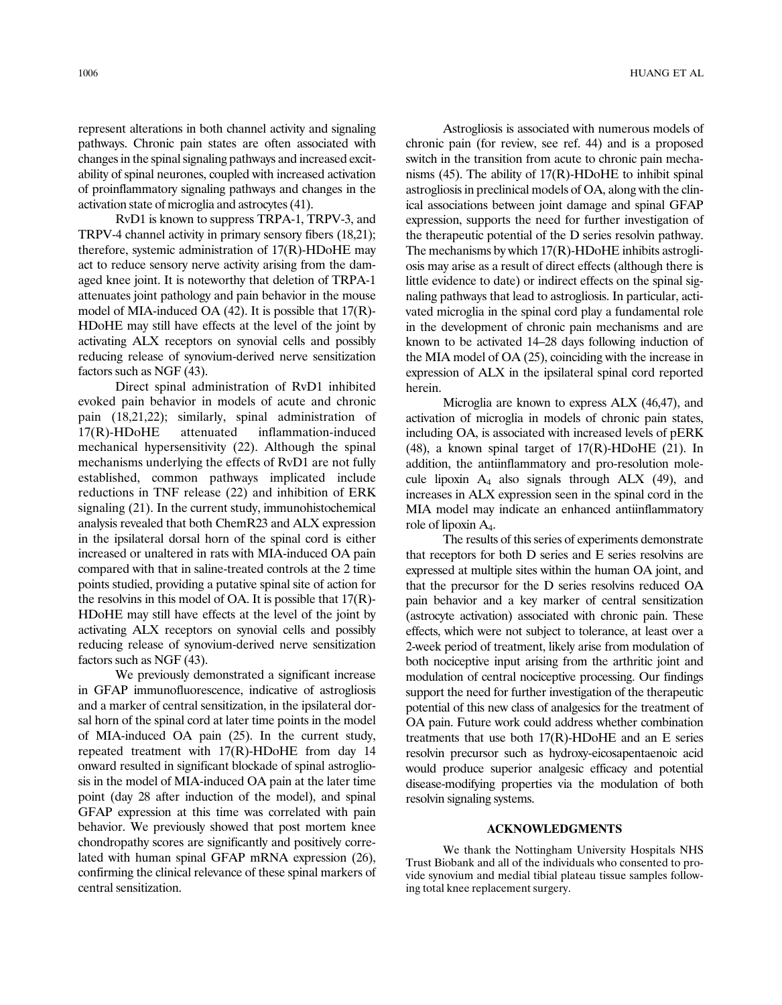represent alterations in both channel activity and signaling pathways. Chronic pain states are often associated with changes in the spinal signaling pathways and increased excitability of spinal neurones, coupled with increased activation of proinflammatory signaling pathways and changes in the activation state of microglia and astrocytes (41).

RvD1 is known to suppress TRPA-1, TRPV-3, and TRPV-4 channel activity in primary sensory fibers (18,21); therefore, systemic administration of 17(R)-HDoHE may act to reduce sensory nerve activity arising from the damaged knee joint. It is noteworthy that deletion of TRPA-1 attenuates joint pathology and pain behavior in the mouse model of MIA-induced OA (42). It is possible that 17(R)- HDoHE may still have effects at the level of the joint by activating ALX receptors on synovial cells and possibly reducing release of synovium-derived nerve sensitization factors such as NGF (43).

Direct spinal administration of RvD1 inhibited evoked pain behavior in models of acute and chronic pain (18,21,22); similarly, spinal administration of 17(R)-HDoHE attenuated inflammation-induced mechanical hypersensitivity (22). Although the spinal mechanisms underlying the effects of RvD1 are not fully established, common pathways implicated include reductions in TNF release (22) and inhibition of ERK signaling (21). In the current study, immunohistochemical analysis revealed that both ChemR23 and ALX expression in the ipsilateral dorsal horn of the spinal cord is either increased or unaltered in rats with MIA-induced OA pain compared with that in saline-treated controls at the 2 time points studied, providing a putative spinal site of action for the resolvins in this model of OA. It is possible that  $17(R)$ -HDoHE may still have effects at the level of the joint by activating ALX receptors on synovial cells and possibly reducing release of synovium-derived nerve sensitization factors such as NGF (43).

We previously demonstrated a significant increase in GFAP immunofluorescence, indicative of astrogliosis and a marker of central sensitization, in the ipsilateral dorsal horn of the spinal cord at later time points in the model of MIA-induced OA pain (25). In the current study, repeated treatment with 17(R)-HDoHE from day 14 onward resulted in significant blockade of spinal astrogliosis in the model of MIA-induced OA pain at the later time point (day 28 after induction of the model), and spinal GFAP expression at this time was correlated with pain behavior. We previously showed that post mortem knee chondropathy scores are significantly and positively correlated with human spinal GFAP mRNA expression (26), confirming the clinical relevance of these spinal markers of central sensitization.

Astrogliosis is associated with numerous models of chronic pain (for review, see ref. 44) and is a proposed switch in the transition from acute to chronic pain mechanisms  $(45)$ . The ability of  $17(R)$ -HDoHE to inhibit spinal astrogliosis in preclinical models of OA, along with the clinical associations between joint damage and spinal GFAP expression, supports the need for further investigation of the therapeutic potential of the D series resolvin pathway. The mechanisms by which  $17(R)$ -HDoHE inhibits astrogliosis may arise as a result of direct effects (although there is little evidence to date) or indirect effects on the spinal signaling pathways that lead to astrogliosis. In particular, activated microglia in the spinal cord play a fundamental role in the development of chronic pain mechanisms and are known to be activated 14–28 days following induction of the MIA model of OA (25), coinciding with the increase in expression of ALX in the ipsilateral spinal cord reported herein.

Microglia are known to express ALX (46,47), and activation of microglia in models of chronic pain states, including OA, is associated with increased levels of pERK  $(48)$ , a known spinal target of  $17(R)$ -HDoHE  $(21)$ . In addition, the antiinflammatory and pro-resolution molecule lipoxin  $A_4$  also signals through ALX (49), and increases in ALX expression seen in the spinal cord in the MIA model may indicate an enhanced antiinflammatory role of lipoxin A<sub>4</sub>.

The results of this series of experiments demonstrate that receptors for both D series and E series resolvins are expressed at multiple sites within the human OA joint, and that the precursor for the D series resolvins reduced OA pain behavior and a key marker of central sensitization (astrocyte activation) associated with chronic pain. These effects, which were not subject to tolerance, at least over a 2-week period of treatment, likely arise from modulation of both nociceptive input arising from the arthritic joint and modulation of central nociceptive processing. Our findings support the need for further investigation of the therapeutic potential of this new class of analgesics for the treatment of OA pain. Future work could address whether combination treatments that use both  $17(R)$ -HDoHE and an E series resolvin precursor such as hydroxy-eicosapentaenoic acid would produce superior analgesic efficacy and potential disease-modifying properties via the modulation of both resolvin signaling systems.

## ACKNOWLEDGMENTS

We thank the Nottingham University Hospitals NHS Trust Biobank and all of the individuals who consented to provide synovium and medial tibial plateau tissue samples following total knee replacement surgery.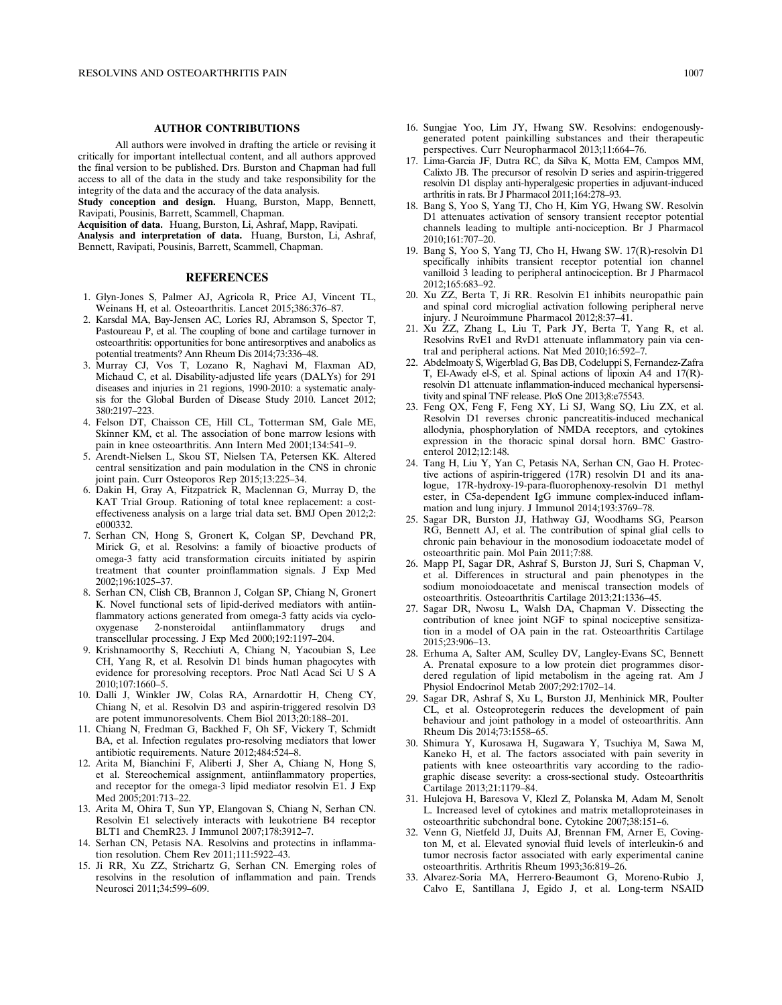#### AUTHOR CONTRIBUTIONS

All authors were involved in drafting the article or revising it critically for important intellectual content, and all authors approved the final version to be published. Drs. Burston and Chapman had full access to all of the data in the study and take responsibility for the integrity of the data and the accuracy of the data analysis.

Study conception and design. Huang, Burston, Mapp, Bennett, Ravipati, Pousinis, Barrett, Scammell, Chapman.

Acquisition of data. Huang, Burston, Li, Ashraf, Mapp, Ravipati.

Analysis and interpretation of data. Huang, Burston, Li, Ashraf, Bennett, Ravipati, Pousinis, Barrett, Scammell, Chapman.

### REFERENCES

- 1. Glyn-Jones S, Palmer AJ, Agricola R, Price AJ, Vincent TL, Weinans H, et al. Osteoarthritis. Lancet 2015;386:376–87.
- 2. Karsdal MA, Bay-Jensen AC, Lories RJ, Abramson S, Spector T, Pastoureau P, et al. The coupling of bone and cartilage turnover in osteoarthritis: opportunities for bone antiresorptives and anabolics as potential treatments? Ann Rheum Dis 2014;73:336–48.
- 3. Murray CJ, Vos T, Lozano R, Naghavi M, Flaxman AD, Michaud C, et al. Disability-adjusted life years (DALYs) for 291 diseases and injuries in 21 regions, 1990-2010: a systematic analysis for the Global Burden of Disease Study 2010. Lancet 2012; 380:2197–223.
- 4. Felson DT, Chaisson CE, Hill CL, Totterman SM, Gale ME, Skinner KM, et al. The association of bone marrow lesions with pain in knee osteoarthritis. Ann Intern Med 2001;134:541–9.
- 5. Arendt-Nielsen L, Skou ST, Nielsen TA, Petersen KK. Altered central sensitization and pain modulation in the CNS in chronic joint pain. Curr Osteoporos Rep 2015;13:225–34.
- 6. Dakin H, Gray A, Fitzpatrick R, Maclennan G, Murray D, the KAT Trial Group. Rationing of total knee replacement: a costeffectiveness analysis on a large trial data set. BMJ Open 2012;2: e000332.
- 7. Serhan CN, Hong S, Gronert K, Colgan SP, Devchand PR, Mirick G, et al. Resolvins: a family of bioactive products of omega-3 fatty acid transformation circuits initiated by aspirin treatment that counter proinflammation signals. J Exp Med 2002;196:1025–37.
- 8. Serhan CN, Clish CB, Brannon J, Colgan SP, Chiang N, Gronert K. Novel functional sets of lipid-derived mediators with antiinflammatory actions generated from omega-3 fatty acids via cyclooxygenase 2-nonsteroidal antiinflammatory drugs and transcellular processing. J Exp Med 2000;192:1197–204.
- 9. Krishnamoorthy S, Recchiuti A, Chiang N, Yacoubian S, Lee CH, Yang R, et al. Resolvin D1 binds human phagocytes with evidence for proresolving receptors. Proc Natl Acad Sci U S A 2010;107:1660–5.
- 10. Dalli J, Winkler JW, Colas RA, Arnardottir H, Cheng CY, Chiang N, et al. Resolvin D3 and aspirin-triggered resolvin D3 are potent immunoresolvents. Chem Biol 2013;20:188–201.
- 11. Chiang N, Fredman G, Backhed F, Oh SF, Vickery T, Schmidt BA, et al. Infection regulates pro-resolving mediators that lower antibiotic requirements. Nature 2012;484:524–8.
- 12. Arita M, Bianchini F, Aliberti J, Sher A, Chiang N, Hong S, et al. Stereochemical assignment, antiinflammatory properties, and receptor for the omega-3 lipid mediator resolvin E1. J Exp Med 2005;201:713–22.
- 13. Arita M, Ohira T, Sun YP, Elangovan S, Chiang N, Serhan CN. Resolvin E1 selectively interacts with leukotriene B4 receptor BLT1 and ChemR23. J Immunol 2007;178:3912–7.
- 14. Serhan CN, Petasis NA. Resolvins and protectins in inflammation resolution. Chem Rev 2011;111:5922–43.
- 15. Ji RR, Xu ZZ, Strichartz G, Serhan CN. Emerging roles of resolvins in the resolution of inflammation and pain. Trends Neurosci 2011;34:599–609.
- 16. Sungjae Yoo, Lim JY, Hwang SW. Resolvins: endogenouslygenerated potent painkilling substances and their therapeutic perspectives. Curr Neuropharmacol 2013;11:664–76.
- 17. Lima-Garcia JF, Dutra RC, da Silva K, Motta EM, Campos MM, Calixto JB. The precursor of resolvin D series and aspirin-triggered resolvin D1 display anti-hyperalgesic properties in adjuvant-induced arthritis in rats. Br J Pharmacol 2011;164:278–93.
- 18. Bang S, Yoo S, Yang TJ, Cho H, Kim YG, Hwang SW. Resolvin D1 attenuates activation of sensory transient receptor potential channels leading to multiple anti-nociception. Br J Pharmacol 2010;161:707–20.
- 19. Bang S, Yoo S, Yang TJ, Cho H, Hwang SW. 17(R)-resolvin D1 specifically inhibits transient receptor potential ion channel vanilloid 3 leading to peripheral antinociception. Br J Pharmacol 2012;165:683–92.
- 20. Xu ZZ, Berta T, Ji RR. Resolvin E1 inhibits neuropathic pain and spinal cord microglial activation following peripheral nerve injury. J Neuroimmune Pharmacol 2012;8:37–41.
- 21. Xu ZZ, Zhang L, Liu T, Park JY, Berta T, Yang R, et al. Resolvins RvE1 and RvD1 attenuate inflammatory pain via central and peripheral actions. Nat Med 2010;16:592–7.
- 22. Abdelmoaty S, Wigerblad G, Bas DB, Codeluppi S, Fernandez-Zafra T, El-Awady el-S, et al. Spinal actions of lipoxin A4 and 17(R) resolvin D1 attenuate inflammation-induced mechanical hypersensitivity and spinal TNF release. PloS One 2013;8:e75543.
- 23. Feng QX, Feng F, Feng XY, Li SJ, Wang SQ, Liu ZX, et al. Resolvin D1 reverses chronic pancreatitis-induced mechanical allodynia, phosphorylation of NMDA receptors, and cytokines expression in the thoracic spinal dorsal horn. BMC Gastroenterol 2012;12:148.
- 24. Tang H, Liu Y, Yan C, Petasis NA, Serhan CN, Gao H. Protective actions of aspirin-triggered (17R) resolvin D1 and its analogue, 17R-hydroxy-19-para-fluorophenoxy-resolvin D1 methyl ester, in C5a-dependent IgG immune complex-induced inflammation and lung injury. J Immunol 2014;193:3769–78.
- 25. Sagar DR, Burston JJ, Hathway GJ, Woodhams SG, Pearson RG, Bennett AJ, et al. The contribution of spinal glial cells to chronic pain behaviour in the monosodium iodoacetate model of osteoarthritic pain. Mol Pain 2011;7:88.
- 26. Mapp PI, Sagar DR, Ashraf S, Burston JJ, Suri S, Chapman V, et al. Differences in structural and pain phenotypes in the sodium monoiodoacetate and meniscal transection models of osteoarthritis. Osteoarthritis Cartilage 2013;21:1336–45.
- 27. Sagar DR, Nwosu L, Walsh DA, Chapman V. Dissecting the contribution of knee joint NGF to spinal nociceptive sensitization in a model of OA pain in the rat. Osteoarthritis Cartilage 2015;23:906–13.
- 28. Erhuma A, Salter AM, Sculley DV, Langley-Evans SC, Bennett A. Prenatal exposure to a low protein diet programmes disordered regulation of lipid metabolism in the ageing rat. Am J Physiol Endocrinol Metab 2007;292:1702–14.
- 29. Sagar DR, Ashraf S, Xu L, Burston JJ, Menhinick MR, Poulter CL, et al. Osteoprotegerin reduces the development of pain behaviour and joint pathology in a model of osteoarthritis. Ann Rheum Dis 2014;73:1558–65.
- 30. Shimura Y, Kurosawa H, Sugawara Y, Tsuchiya M, Sawa M, Kaneko H, et al. The factors associated with pain severity in patients with knee osteoarthritis vary according to the radiographic disease severity: a cross-sectional study. Osteoarthritis Cartilage 2013;21:1179–84.
- 31. Hulejova H, Baresova V, Klezl Z, Polanska M, Adam M, Senolt L. Increased level of cytokines and matrix metalloproteinases in osteoarthritic subchondral bone. Cytokine 2007;38:151–6.
- 32. Venn G, Nietfeld JJ, Duits AJ, Brennan FM, Arner E, Covington M, et al. Elevated synovial fluid levels of interleukin-6 and tumor necrosis factor associated with early experimental canine osteoarthritis. Arthritis Rheum 1993;36:819–26.
- 33. Alvarez-Soria MA, Herrero-Beaumont G, Moreno-Rubio J, Calvo E, Santillana J, Egido J, et al. Long-term NSAID